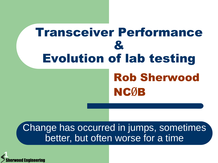# Transceiver Performance & Evolution of lab testing Rob Sherwood NCØB

Change has occurred in jumps, sometimes better, but often worse for a time

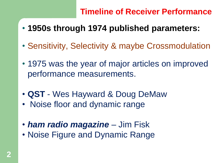- **1950s through 1974 published parameters:**
- Sensitivity, Selectivity & maybe Crossmodulation
- 1975 was the year of major articles on improved performance measurements.
- **QST** Wes Hayward & Doug DeMaw
- Noise floor and dynamic range
- *ham radio magazine* Jim Fisk
- Noise Figure and Dynamic Range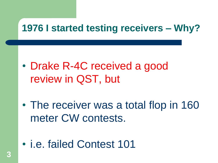# **1976 I started testing receivers – Why?**

- Drake R-4C received a good review in QST, but
- The receiver was a total flop in 160 meter CW contests.
- i.e. failed Contest 101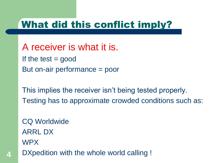### What did this conflict imply?

A receiver is what it is. If the test  $=$  good But on-air performance = poor

This implies the receiver isn't being tested properly. Testing has to approximate crowded conditions such as:

CQ Worldwide ARRL DX WPX

**4** DXpedition with the whole world calling !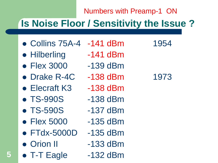#### Numbers with Preamp-1 ON

# **Is Noise Floor / Sensitivity the Issue ?**

- Collins 75A-4 -141 dBm 1954
- Hilberling -141 dBm
- Flex 3000 -139 dBm
- Drake R-4C -138 dBm 1973
- Elecraft K3 -138 dBm
- TS-990S -138 dBm
- TS-590S -137 dBm
- Flex 5000 -135 dBm
- FTdx-5000D -135 dBm
- Orion II -133 dBm
- T-T Eagle -132 dBm

- 
- 
- 
- 
- 
- 
- 
- 
- 
-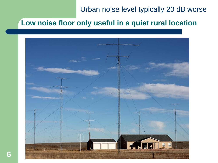#### Urban noise level typically 20 dB worse

#### **Low noise floor only useful in a quiet rural location**

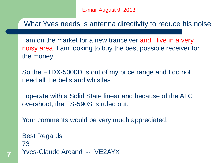What Yves needs is antenna directivity to reduce his noise

I am on the market for a new tranceiver and I live in a very noisy area. I am looking to buy the best possible receiver for the money

So the FTDX-5000D is out of my price range and I do not need all the bells and whistles.

I operate with a Solid State linear and because of the ALC overshoot, the TS-590S is ruled out.

Your comments would be very much appreciated.

Best Regards 73 Yves-Claude Arcand -- VE2AYX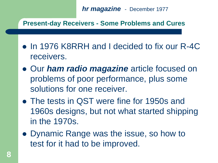*hr magazine* - December 1977

**Present-day Receivers - Some Problems and Cures**

- In 1976 K8RRH and I decided to fix our R-4C receivers.
- Our *ham radio magazine* article focused on problems of poor performance, plus some solutions for one receiver.
- The tests in QST were fine for 1950s and 1960s designs, but not what started shipping in the 1970s.
- Dynamic Range was the issue, so how to test for it had to be improved.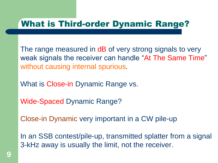#### What is Third-order Dynamic Range?

The range measured in dB of very strong signals to very weak signals the receiver can handle "At The Same Time" without causing internal spurious.

What is Close-in Dynamic Range vs.

Wide-Spaced Dynamic Range?

Close-in Dynamic very important in a CW pile-up

In an SSB contest/pile-up, transmitted splatter from a signal 3-kHz away is usually the limit, not the receiver.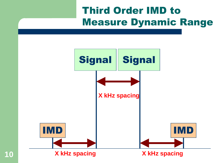# Third Order IMD to Measure Dynamic Range

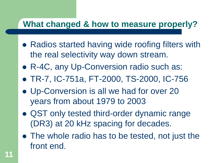#### **What changed & how to measure properly?**

- Radios started having wide roofing filters with the real selectivity way down stream.
- R-4C, any Up-Conversion radio such as:
- TR-7, IC-751a, FT-2000, TS-2000, IC-756
- Up-Conversion is all we had for over 20 years from about 1979 to 2003
- QST only tested third-order dynamic range (DR3) at 20 kHz spacing for decades.
- The whole radio has to be tested, not just the front end.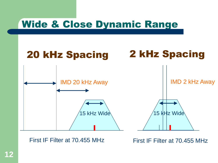# Wide & Close Dynamic Range



First IF Filter at 70.455 MHz

First IF Filter at 70.455 MHz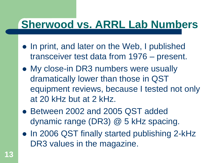# **Sherwood vs. ARRL Lab Numbers**

- In print, and later on the Web, I published transceiver test data from 1976 – present.
- My close-in DR3 numbers were usually dramatically lower than those in QST equipment reviews, because I tested not only at 20 kHz but at 2 kHz.
- Between 2002 and 2005 QST added dynamic range (DR3) @ 5 kHz spacing.
- In 2006 QST finally started publishing 2-kHz DR3 values in the magazine.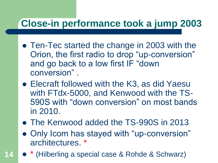## **Close-in performance took a jump 2003**

- Ten-Tec started the change in 2003 with the Orion, the first radio to drop "up-conversion" and go back to a low first IF "down conversion" .
- Elecraft followed with the K3, as did Yaesu with FTdx-5000, and Kenwood with the TS-590S with "down conversion" on most bands in 2010.
- The Kenwood added the TS-990S in 2013
- Only Icom has stayed with "up-conversion" architectures. \*
- **14** \* (Hilberling a special case & Rohde & Schwarz)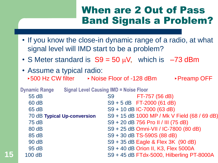#### When are 2 Out of Pass Band Signals a Problem?

- If you know the close-in dynamic range of a radio, at what signal level will IMD start to be a problem?
- S Meter standard is  $S9 = 50 \mu V$ , which is  $-73$  dBm
- Assume a typical radio: ►500 Hz CW filter  $\rightarrow$  Noise Floor of -128 dBm  $\rightarrow$  Preamp OFF

**Dynamic Range Signal Level Causing IMD = Noise Floor** 55 dB S9 FT-757 (56 dB) 60 dB S9 + 5 dB FT-2000 (61 dB) 65 dB S9 + 10 dB IC-7000 (63 dB) 70 dB **Typical Up-conversion** S9 + 15 dB 1000 MP / Mk V Field (68 / 69 dB) 75 dB S9 + 20 dB 756 Pro II / III (75 dB) 80 dB S9 + 25 dB Omni-VII / IC-7800 (80 dB) 85 dB S9 + 30 dB TS-590S (88 dB) 90 dB S9 + 35 dB Eagle & Flex 3K (90 dB) 95 dB S9 + 40 dB Orion II, K3, Flex 5000A **15** 100 dB S9 + 45 dB FTdx-5000, Hilberling PT-8000A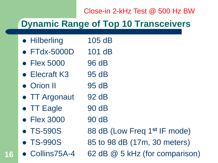#### Close-in 2-kHz Test @ 500 Hz BW

### **Dynamic Range of Top 10 Transceivers**

- Hilberling 105 dB
- FTdx-5000D 101 dB
- Flex 5000 96 dB
- Elecraft K3 95 dB
- Orion II 95 dB
- TT Argonaut 92 dB
- TT Eagle 90 dB
- Flex 3000 90 dB
- 
- 
- **16**

TS-590S 88 dB (Low Freq 1**st** IF mode)

- TS-990S 85 to 98 dB (17m, 30 meters)
- Collins75A-4 62 dB @ 5 kHz (for comparison)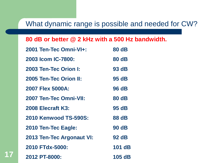#### What dynamic range is possible and needed for CW?

#### **80 dB or better @ 2 kHz with a 500 Hz bandwidth.**

| 2001 Ten-Tec Omni-VI+:           | <b>80 dB</b> |
|----------------------------------|--------------|
| 2003 Icom IC-7800:               | 80 dB        |
| 2003 Ten-Tec Orion I:            | 93 dB        |
| 2005 Ten-Tec Orion II:           | 95 dB        |
| 2007 Flex 5000A:                 | 96 dB        |
| 2007 Ten-Tec Omni-VII:           | 80 dB        |
| 2008 Elecraft K3:                | 95 dB        |
| <b>2010 Kenwood TS-590S:</b>     | 88 dB        |
| 2010 Ten-Tec Eagle:              | <b>90 dB</b> |
| <b>2013 Ten-Tec Argonaut VI:</b> | 92 dB        |
| 2010 FTdx-5000:                  | 101 dB       |
| 2012 PT-8000:                    | 105 dB       |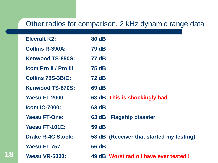#### Other radios for comparison, 2 kHz dynamic range data

| <b>Elecraft K2:</b>          | <b>80 dB</b> |                                          |
|------------------------------|--------------|------------------------------------------|
| <b>Collins R-390A:</b>       | <b>79 dB</b> |                                          |
| <b>Kenwood TS-850S:</b>      | <b>77 dB</b> |                                          |
| <b>Icom Pro II / Pro III</b> | <b>75 dB</b> |                                          |
| <b>Collins 75S-3B/C:</b>     | <b>72 dB</b> |                                          |
| <b>Kenwood TS-870S:</b>      | 69 dB        |                                          |
| <b>Yaesu FT-2000:</b>        |              | 63 dB This is shockingly bad             |
| <b>Icom IC-7000:</b>         | 63 dB        |                                          |
| <b>Yaesu FT-One:</b>         | 63 dB        | <b>Flagship disaster</b>                 |
| Yaesu FT-101E:               | 59 dB        |                                          |
| <b>Drake R-4C Stock:</b>     |              | 58 dB (Receiver that started my testing) |
| Yaesu FT-757:                | 56 dB        |                                          |
| <b>Yaesu VR-5000:</b>        |              | 49 dB Worst radio I have ever tested!    |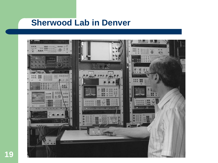#### **Sherwood Lab in Denver**

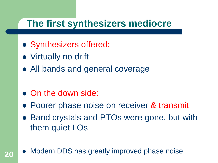#### **The first synthesizers mediocre**

- Synthesizers offered:
- Virtually no drift
- All bands and general coverage
- On the down side:
- Poorer phase noise on receiver & transmit
- Band crystals and PTOs were gone, but with them quiet LOs
- 20 Modern DDS has greatly improved phase noise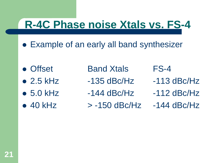# **R-4C Phase noise Xtals vs. FS-4**

- Example of an early all band synthesizer
- 
- 
- 
- 
- Offset Band Xtals FS-4
- $\bullet$  2.5 kHz  $\bullet$  -135 dBc/Hz  $\bullet$  -113 dBc/Hz
- $\bullet$  5.0 kHz  $\bullet$  -144 dBc/Hz  $\bullet$  -112 dBc/Hz
- $\bullet$  40 kHz  $\bullet$  -150 dBc/Hz -144 dBc/Hz

- 
- 
-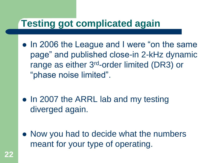## **Testing got complicated again**

- In 2006 the League and I were "on the same page" and published close-in 2-kHz dynamic range as either 3rd-order limited (DR3) or "phase noise limited".
- In 2007 the ARRL lab and my testing diverged again.
- Now you had to decide what the numbers meant for your type of operating.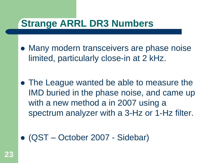### **Strange ARRL DR3 Numbers**

- Many modern transceivers are phase noise limited, particularly close-in at 2 kHz.
- The League wanted be able to measure the IMD buried in the phase noise, and came up with a new method a in 2007 using a spectrum analyzer with a 3-Hz or 1-Hz filter.
- (QST October 2007 Sidebar)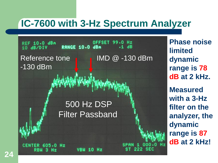## **IC-7600 with 3-Hz Spectrum Analyzer**

OFFSET REF 10.0 dBm 99.0 Hz **RANGE 10.0 dBm**  $.1$   $dB$ 10 ARZDIV Reference tone **IMD** @ -130 dBm -130 dBm 500 Hz DSP Filter Passband 605.0

**Phase noise limited dynamic range is 78 dB at 2 kHz. Measured with a 3-Hz filter on the analyzer, the dynamic range is 87 dB at 2 kHz!**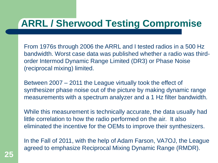# **ARRL / Sherwood Testing Compromise**

From 1976s through 2006 the ARRL and I tested radios in a 500 Hz bandwidth. Worst case data was published whether a radio was thirdorder Intermod Dynamic Range Limited (DR3) or Phase Noise (reciprocal mixing) limited.

Between 2007 – 2011 the League virtually took the effect of synthesizer phase noise out of the picture by making dynamic range measurements with a spectrum analyzer and a 1 Hz filter bandwidth.

While this measurement is technically accurate, the data usually had little correlation to how the radio performed on the air. It also eliminated the incentive for the OEMs to improve their synthesizers.

In the Fall of 2011, with the help of Adam Farson, VA7OJ, the League agreed to emphasize Reciprocal Mixing Dynamic Range (RMDR).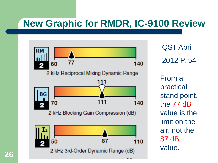## **New Graphic for RMDR, IC-9100 Review**



QST April 2012 P. 54

From a practical stand point, the 77 dB value is the limit on the air, not the 87 dB value.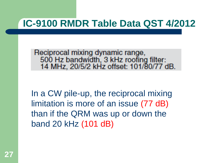### **IC-9100 RMDR Table Data QST 4/2012**

Reciprocal mixing dynamic range, 500 Hz bandwidth, 3 kHz roofing filter:<br>14 MHz, 20/5/2 kHz offset: 101/80/77 dB.

In a CW pile-up, the reciprocal mixing limitation is more of an issue (77 dB) than if the QRM was up or down the band 20 kHz (101 dB)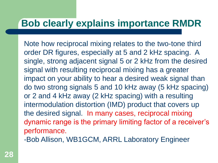#### **Bob clearly explains importance RMDR**

Note how reciprocal mixing relates to the two-tone third order DR figures, especially at 5 and 2 kHz spacing. A single, strong adjacent signal 5 or 2 kHz from the desired signal with resulting reciprocal mixing has a greater impact on your ability to hear a desired weak signal than do two strong signals 5 and 10 kHz away (5 kHz spacing) or 2 and 4 kHz away (2 kHz spacing) with a resulting intermodulation distortion (IMD) product that covers up the desired signal. In many cases, reciprocal mixing dynamic range is the primary limiting factor of a receiver's performance.

-Bob Allison, WB1GCM, ARRL Laboratory Engineer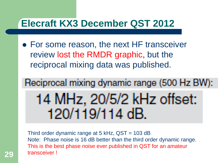#### **Elecraft KX3 December QST 2012**

- For some reason, the next HF transceiver review lost the RMDR graphic, but the reciprocal mixing data was published.
- Reciprocal mixing dynamic range (500 Hz BW): 14 MHz, 20/5/2 kHz offset: 120/119/114 dB.

Third order dynamic range at 5 kHz, QST = 103 dB Note: Phase noise is 16 dB better than the third order dynamic range. This is the best phase noise ever published in QST for an amateur transceiver ! **29**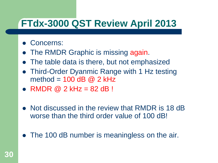# **FTdx-3000 QST Review April 2013**

- Concerns:
- The RMDR Graphic is missing again.
- The table data is there, but not emphasized
- Third-Order Dyanmic Range with 1 Hz testing method =  $100$  dB  $@$  2 kHz
- $\bullet$  RMDR @ 2 kHz = 82 dB!
- Not discussed in the review that RMDR is 18 dB worse than the third order value of 100 dB!
- The 100 dB number is meaningless on the air.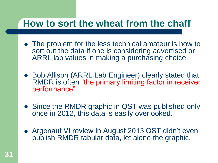#### **How to sort the wheat from the chaff**

- The problem for the less technical amateur is how to sort out the data if one is considering advertised or ARRL lab values in making a purchasing choice.
- Bob Allison (ARRL Lab Engineer) clearly stated that RMDR is often "the primary limiting factor in receiver performance".
- Since the RMDR graphic in QST was published only once in 2012, this data is easily overlooked.
- Argonaut VI review in August 2013 QST didn't even publish RMDR tabular data, let alone the graphic.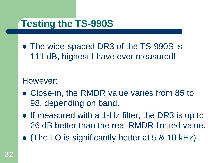# **Testing the TS-990S**

• The wide-spaced DR3 of the TS-990S is 111 dB, highest I have ever measured!

#### However:

- Close-in, the RMDR value varies from 85 to 98, depending on band.
- If measured with a 1-Hz filter, the DR3 is up to 26 dB better than the real RMDR limited value.
- (The LO is significantly better at 5 & 10 kHz)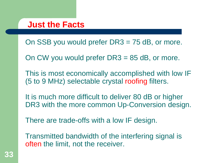#### **Just the Facts**

On SSB you would prefer DR3 = 75 dB, or more.

On CW you would prefer DR3 = 85 dB, or more.

This is most economically accomplished with low IF (5 to 9 MHz) selectable crystal roofing filters.

It is much more difficult to deliver 80 dB or higher DR3 with the more common Up-Conversion design.

There are trade-offs with a low IF design.

Transmitted bandwidth of the interfering signal is often the limit, not the receiver.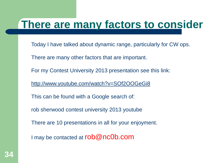# **There are many factors to consider**

- Today I have talked about dynamic range, particularly for CW ops.
- There are many other factors that are important.
- For my Contest University 2013 presentation see this link:
- <http://www.youtube.com/watch?v=SOf2OOGeGi8>
- This can be found with a Google search of:
- rob sherwood contest university 2013 youtube
- There are 10 presentations in all for your enjoyment.
- I may be contacted at rob@nc0b.com